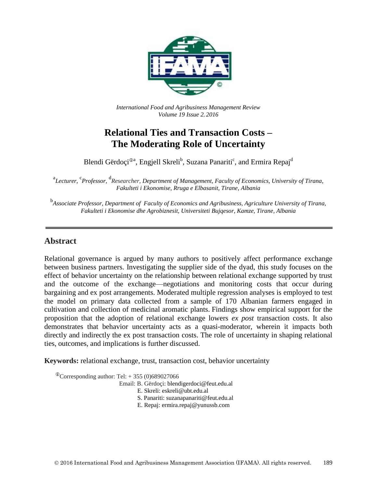

*International Food and Agribusiness Management Review Volume 19 Issue 2*, *2016*

# **Relational Ties and Transaction Costs – The Moderating Role of Uncertainty**

Blendi Gërdoçi®<sup>a</sup>, Engjell Skreli<sup>b</sup>, Suzana Panariti<sup>c</sup>, and Ermira Repaj<sup>d</sup>

<sup>a</sup>Lecturer, <sup>c</sup>Professor, <sup>d</sup>Researcher, Department of Management, Faculty of Economics, University of Tirana, *Fakulteti i Ekonomise, Rruga e Elbasanit, Tirane, Albania*

<sup>b</sup><br>Associate Professor, Department of Faculty of Economics and Agribusiness, Agriculture University of Tirana, *Fakulteti i Ekonomise dhe Agrobiznesit, Universiteti Bujqesor, Kamze, Tirane, Albania*

## **Abstract**

Relational governance is argued by many authors to positively affect performance exchange between business partners. Investigating the supplier side of the dyad, this study focuses on the effect of behavior uncertainty on the relationship between relational exchange supported by trust and the outcome of the exchange—negotiations and monitoring costs that occur during bargaining and ex post arrangements. Moderated multiple regression analyses is employed to test the model on primary data collected from a sample of 170 Albanian farmers engaged in cultivation and collection of medicinal aromatic plants. Findings show empirical support for the proposition that the adoption of relational exchange lowers *ex post* transaction costs. It also demonstrates that behavior uncertainty acts as a quasi-moderator, wherein it impacts both directly and indirectly the ex post transaction costs. The role of uncertainty in shaping relational ties, outcomes, and implications is further discussed.

**Keywords:** relational exchange, trust, transaction cost, behavior uncertainty

 $\textcirc{Corresponding author: Tel:} + 355 (0)689027066$ 

Email: B. Gërdoçi: blendigerdoci@feut.edu.al

E. Skreli: eskreli@ubt.edu.al

S. Panariti: suzanapanariti@feut.edu.al

E. Repaj: ermira.repaj@yunussb.com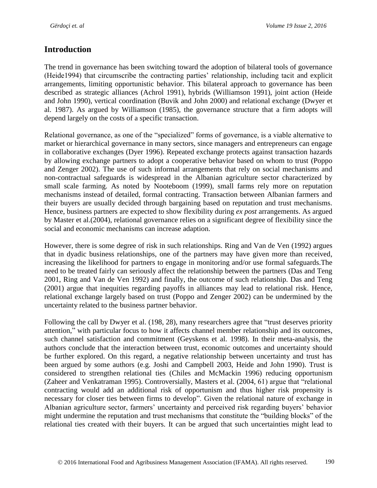## **Introduction**

The trend in governance has been switching toward the adoption of bilateral tools of governance (Heide1994) that circumscribe the contracting parties' relationship, including tacit and explicit arrangements, limiting opportunistic behavior. This bilateral approach to governance has been described as strategic alliances (Achrol 1991), hybrids (Williamson 1991), joint action (Heide and John 1990), vertical coordination (Buvik and John 2000) and relational exchange (Dwyer et al. 1987). As argued by Williamson (1985), the governance structure that a firm adopts will depend largely on the costs of a specific transaction.

Relational governance, as one of the "specialized" forms of governance, is a viable alternative to market or hierarchical governance in many sectors, since managers and entrepreneurs can engage in collaborative exchanges (Dyer 1996). Repeated exchange protects against transaction hazards by allowing exchange partners to adopt a cooperative behavior based on whom to trust (Poppo and Zenger 2002). The use of such informal arrangements that rely on social mechanisms and non-contractual safeguards is widespread in the Albanian agriculture sector characterized by small scale farming. As noted by Nooteboom (1999), small farms rely more on reputation mechanisms instead of detailed, formal contracting. Transaction between Albanian farmers and their buyers are usually decided through bargaining based on reputation and trust mechanisms. Hence, business partners are expected to show flexibility during *ex post* arrangements. As argued by Master et al.(2004), relational governance relies on a significant degree of flexibility since the social and economic mechanisms can increase adaption.

However, there is some degree of risk in such relationships. Ring and Van de Ven (1992) argues that in dyadic business relationships, one of the partners may have given more than received, increasing the likelihood for partners to engage in monitoring and/or use formal safeguards.The need to be treated fairly can seriously affect the relationship between the partners (Das and Teng 2001, Ring and Van de Ven 1992) and finally, the outcome of such relationship. Das and Teng (2001) argue that inequities regarding payoffs in alliances may lead to relational risk. Hence, relational exchange largely based on trust (Poppo and Zenger 2002) can be undermined by the uncertainty related to the business partner behavior.

Following the call by Dwyer et al. (198, 28), many researchers agree that "trust deserves priority attention," with particular focus to how it affects channel member relationship and its outcomes, such channel satisfaction and commitment (Geyskens et al. 1998). In their meta-analysis, the authors conclude that the interaction between trust, economic outcomes and uncertainty should be further explored. On this regard, a negative relationship between uncertainty and trust has been argued by some authors (e.g. Joshi and Campbell 2003, Heide and John 1990). Trust is considered to strengthen relational ties (Chiles and McMackin 1996) reducing opportunism (Zaheer and Venkatraman 1995). Controversially, Masters et al. (2004, 61) argue that "relational contracting would add an additional risk of opportunism and thus higher risk propensity is necessary for closer ties between firms to develop". Given the relational nature of exchange in Albanian agriculture sector, farmers' uncertainty and perceived risk regarding buyers' behavior might undermine the reputation and trust mechanisms that constitute the "building blocks" of the relational ties created with their buyers. It can be argued that such uncertainties might lead to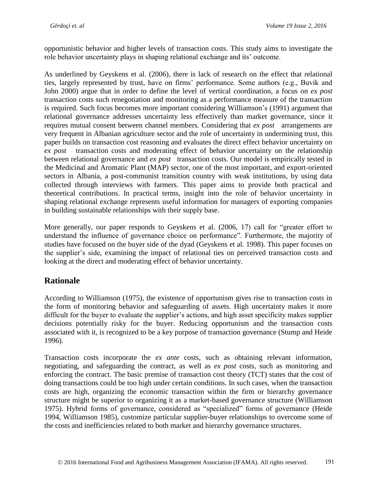opportunistic behavior and higher levels of transaction costs. This study aims to investigate the role behavior uncertainty plays in shaping relational exchange and its' outcome.

As underlined by Geyskens et al. (2006), there is lack of research on the effect that relational ties, largely represented by trust, have on firms' performance. Some authors (e.g., Buvik and John 2000) argue that in order to define the level of vertical coordination, a focus on *ex post*  transaction costs such renegotiation and monitoring as a performance measure of the transaction is required. Such focus becomes more important considering Williamson's (1991) argument that relational governance addresses uncertainty less effectively than market governance, since it requires mutual consent between channel members. Considering that *ex post* arrangements are very frequent in Albanian agriculture sector and the role of uncertainty in undermining trust, this paper builds on transaction cost reasoning and evaluates the direct effect behavior uncertainty on *ex post* transaction costs and moderating effect of behavior uncertainty on the relationship between relational governance and *ex post* transaction costs. Our model is empirically tested in the Medicinal and Aromatic Plant (MAP) sector, one of the most important, and export-oriented sectors in Albania, a post-communist transition country with weak institutions, by using data collected through interviews with farmers. This paper aims to provide both practical and theoretical contributions. In practical terms, insight into the role of behavior uncertainty in shaping relational exchange represents useful information for managers of exporting companies in building sustainable relationships with their supply base.

More generally, our paper responds to Geyskens et al. (2006, 17) call for "greater effort to understand the influence of governance choice on performance". Furthermore, the majority of studies have focused on the buyer side of the dyad (Geyskens et al. 1998). This paper focuses on the supplier's side, examining the impact of relational ties on perceived transaction costs and looking at the direct and moderating effect of behavior uncertainty.

## **Rationale**

According to Williamson (1975), the existence of opportunism gives rise to transaction costs in the form of monitoring behavior and safeguarding of assets. High uncertainty makes it more difficult for the buyer to evaluate the supplier's actions, and high asset specificity makes supplier decisions potentially risky for the buyer. Reducing opportunism and the transaction costs associated with it, is recognized to be a key purpose of transaction governance (Stump and Heide 1996).

Transaction costs incorporate the *ex ante* costs, such as obtaining relevant information, negotiating, and safeguarding the contract, as well as *ex post* costs, such as monitoring and enforcing the contract. The basic premise of transaction cost theory (TCT) states that the cost of doing transactions could be too high under certain conditions. In such cases, when the transaction costs are high, organizing the economic transaction within the firm or hierarchy governance structure might be superior to organizing it as a market-based governance structure (Williamson 1975). Hybrid forms of governance, considered as "specialized" forms of governance (Heide 1994, Williamson 1985), customize particular supplier-buyer relationships to overcome some of the costs and inefficiencies related to both market and hierarchy governance structures.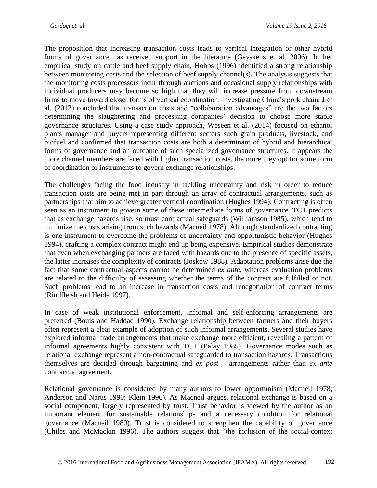The proposition that increasing transaction costs leads to vertical integration or other hybrid forms of governance has received support in the literature (Geyskens et al. 2006). In her empirical study on cattle and beef supply chain, Hobbs (1996) identified a strong relationship between monitoring costs and the selection of beef supply channel(s). The analysis suggests that the monitoring costs processors incur through auctions and occasional supply relationships with individual producers may become so high that they will increase pressure from downstream firms to move toward closer forms of vertical coordination. Investigating China's pork chain, Jiet al. (2012) concluded that transaction costs and "collaboration advantages" are the two factors determining the slaughtering and processing companies' decision to choose more stable governance structures. Using a case study approach, Weseen et al. (2014) focused on ethanol plants manager and buyers representing different sectors such grain products, livestock, and biofuel and confirmed that transaction costs are both a determinant of hybrid and hierarchical forms of governance and an outcome of such specialized governance structures. It appears the more channel members are faced with higher transaction costs, the more they opt for some form of coordination or instruments to govern exchange relationships.

The challenges facing the food industry in tackling uncertainty and risk in order to reduce transaction costs are being met in part through an array of contractual arrangements, such as partnerships that aim to achieve greater vertical coordination (Hughes 1994). Contracting is often seen as an instrument to govern some of these intermediate forms of governance. TCT predicts that as exchange hazards rise, so must contractual safeguards (Williamson 1985), which tend to minimize the costs arising from such hazards (Macneil 1978). Although standardized contracting is one instrument to overcome the problems of uncertainty and opportunistic behavior (Hughes 1994), crafting a complex contract might end up being expensive. Empirical studies demonstrate that even when exchanging partners are faced with hazards due to the presence of specific assets, the latter increases the complexity of contracts (Joskow 1988). Adaptation problems arise due the fact that some contractual aspects cannot be determined *ex ante,* whereas evaluation problems are related to the difficulty of assessing whether the terms of the contract are fulfilled or not. Such problems lead to an increase in transaction costs and renegotiation of contract terms (Rindfleish and Heide 1997).

In case of weak institutional enforcement, informal and self-enforcing arrangements are preferred (Bouis and Haddad 1990). Exchange relationship between farmers and their buyers often represent a clear example of adoption of such informal arrangements. Several studies have explored informal trade arrangements that make exchange more efficient, revealing a pattern of informal agreements highly consistent with TCT (Palay 1985). Governance modes such as relational exchange represent a non-contractual safeguarded to transaction hazards. Transactions themselves are decided through bargaining and *ex post* arrangements rather than *ex ante* contractual agreement.

Relational governance is considered by many authors to lower opportunism (Macneil 1978; Anderson and Narus 1990; Klein 1996). As Macneil argues, relational exchange is based on a social component, largely represented by trust. Trust behavior is viewed by the author as an important element for sustainable relationships and a necessary condition for relational governance (Macneil 1980). Trust is considered to strengthen the capability of governance (Chiles and McMackin 1996). The authors suggest that "the inclusion of the social-context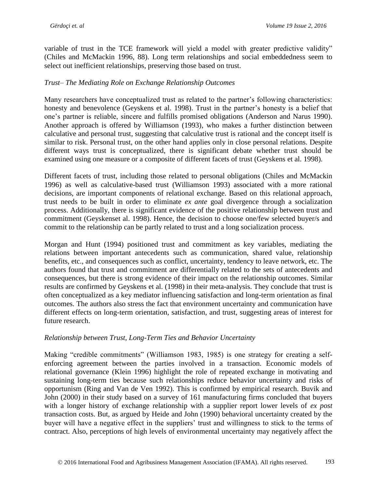variable of trust in the TCE framework will yield a model with greater predictive validity" (Chiles and McMackin 1996, 88). Long term relationships and social embeddedness seem to select out inefficient relationships, preserving those based on trust.

### *Trust– The Mediating Role on Exchange Relationship Outcomes*

Many researchers have conceptualized trust as related to the partner's following characteristics: honesty and benevolence (Geyskens et al. 1998). Trust in the partner's honesty is a belief that one's partner is reliable, sincere and fulfills promised obligations (Anderson and Narus 1990). Another approach is offered by Williamson (1993), who makes a further distinction between calculative and personal trust, suggesting that calculative trust is rational and the concept itself is similar to risk. Personal trust, on the other hand applies only in close personal relations. Despite different ways trust is conceptualized, there is significant debate whether trust should be examined using one measure or a composite of different facets of trust (Geyskens et al. 1998).

Different facets of trust, including those related to personal obligations (Chiles and McMackin 1996) as well as calculative-based trust (Williamson 1993) associated with a more rational decisions, are important components of relational exchange. Based on this relational approach, trust needs to be built in order to eliminate *ex ante* goal divergence through a socialization process. Additionally, there is significant evidence of the positive relationship between trust and commitment (Geyskenset al. 1998). Hence, the decision to choose one/few selected buyer/s and commit to the relationship can be partly related to trust and a long socialization process.

Morgan and Hunt (1994) positioned trust and commitment as key variables, mediating the relations between important antecedents such as communication, shared value, relationship benefits, etc., and consequences such as conflict, uncertainty, tendency to leave network, etc. The authors found that trust and commitment are differentially related to the sets of antecedents and consequences, but there is strong evidence of their impact on the relationship outcomes. Similar results are confirmed by Geyskens et al. (1998) in their meta-analysis. They conclude that trust is often conceptualized as a key mediator influencing satisfaction and long-term orientation as final outcomes. The authors also stress the fact that environment uncertainty and communication have different effects on long-term orientation, satisfaction, and trust, suggesting areas of interest for future research.

### *Relationship between Trust, Long-Term Ties and Behavior Uncertainty*

Making "credible commitments" (Williamson 1983, 1985) is one strategy for creating a selfenforcing agreement between the parties involved in a transaction. Economic models of relational governance (Klein 1996) highlight the role of repeated exchange in motivating and sustaining long-term ties because such relationships reduce behavior uncertainty and risks of opportunism (Ring and Van de Ven 1992). This is confirmed by empirical research. Buvik and John (2000) in their study based on a survey of 161 manufacturing firms concluded that buyers with a longer history of exchange relationship with a supplier report lower levels of *ex post*  transaction costs. But, as argued by Heide and John (1990) behavioral uncertainty created by the buyer will have a negative effect in the suppliers' trust and willingness to stick to the terms of contract. Also, perceptions of high levels of environmental uncertainty may negatively affect the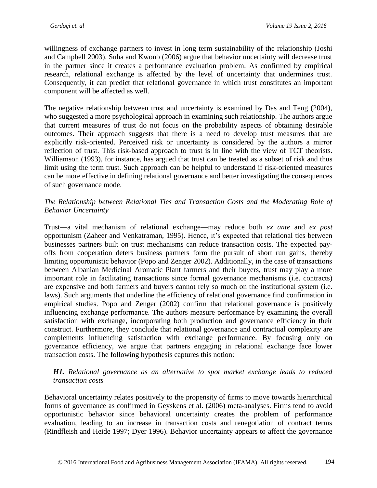willingness of exchange partners to invest in long term sustainability of the relationship (Joshi and Campbell 2003). Suha and Kwonb (2006) argue that behavior uncertainty will decrease trust in the partner since it creates a performance evaluation problem. As confirmed by empirical research, relational exchange is affected by the level of uncertainty that undermines trust. Consequently, it can predict that relational governance in which trust constitutes an important component will be affected as well.

The negative relationship between trust and uncertainty is examined by Das and Teng (2004), who suggested a more psychological approach in examining such relationship. The authors argue that current measures of trust do not focus on the probability aspects of obtaining desirable outcomes. Their approach suggests that there is a need to develop trust measures that are explicitly risk-oriented. Perceived risk or uncertainty is considered by the authors a mirror reflection of trust. This risk-based approach to trust is in line with the view of TCT theorists. Williamson (1993), for instance, has argued that trust can be treated as a subset of risk and thus limit using the term trust. Such approach can be helpful to understand if risk-oriented measures can be more effective in defining relational governance and better investigating the consequences of such governance mode.

## *The Relationship between Relational Ties and Transaction Costs and the Moderating Role of Behavior Uncertainty*

Trust—a vital mechanism of relational exchange—may reduce both *ex ante* and *ex post*  opportunism (Zaheer and Venkatraman, 1995). Hence, it's expected that relational ties between businesses partners built on trust mechanisms can reduce transaction costs. The expected payoffs from cooperation deters business partners form the pursuit of short run gains, thereby limiting opportunistic behavior (Popo and Zenger 2002). Additionally, in the case of transactions between Albanian Medicinal Aromatic Plant farmers and their buyers, trust may play a more important role in facilitating transactions since formal governance mechanisms (i.e. contracts) are expensive and both farmers and buyers cannot rely so much on the institutional system (i.e. laws). Such arguments that underline the efficiency of relational governance find confirmation in empirical studies. Popo and Zenger (2002) confirm that relational governance is positively influencing exchange performance. The authors measure performance by examining the overall satisfaction with exchange, incorporating both production and governance efficiency in their construct. Furthermore, they conclude that relational governance and contractual complexity are complements influencing satisfaction with exchange performance. By focusing only on governance efficiency, we argue that partners engaging in relational exchange face lower transaction costs. The following hypothesis captures this notion:

### *H1. Relational governance as an alternative to spot market exchange leads to reduced transaction costs*

Behavioral uncertainty relates positively to the propensity of firms to move towards hierarchical forms of governance as confirmed in Geyskens et al. (2006) meta-analyses. Firms tend to avoid opportunistic behavior since behavioral uncertainty creates the problem of performance evaluation, leading to an increase in transaction costs and renegotiation of contract terms (Rindfleish and Heide 1997; Dyer 1996). Behavior uncertainty appears to affect the governance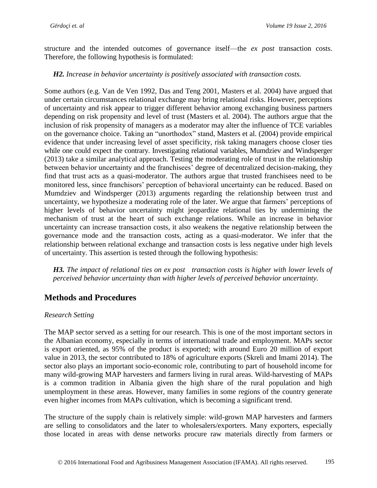structure and the intended outcomes of governance itself—the *ex post* transaction costs. Therefore, the following hypothesis is formulated:

#### *H2. Increase in behavior uncertainty is positively associated with transaction costs.*

Some authors (e.g. Van de Ven 1992, Das and Teng 2001, Masters et al. 2004) have argued that under certain circumstances relational exchange may bring relational risks. However, perceptions of uncertainty and risk appear to trigger different behavior among exchanging business partners depending on risk propensity and level of trust (Masters et al. 2004). The authors argue that the inclusion of risk propensity of managers as a moderator may alter the influence of TCE variables on the governance choice. Taking an "unorthodox" stand, Masters et al. (2004) provide empirical evidence that under increasing level of asset specificity, risk taking managers choose closer ties while one could expect the contrary. Investigating relational variables, Mumdziev and Windsperger (2013) take a similar analytical approach. Testing the moderating role of trust in the relationship between behavior uncertainty and the franchisees' degree of decentralized decision-making, they find that trust acts as a quasi-moderator. The authors argue that trusted franchisees need to be monitored less, since franchisors' perception of behavioral uncertainty can be reduced. Based on Mumdziev and Windsperger (2013) arguments regarding the relationship between trust and uncertainty, we hypothesize a moderating role of the later. We argue that farmers' perceptions of higher levels of behavior uncertainty might jeopardize relational ties by undermining the mechanism of trust at the heart of such exchange relations. While an increase in behavior uncertainty can increase transaction costs, it also weakens the negative relationship between the governance mode and the transaction costs, acting as a quasi-moderator. We infer that the relationship between relational exchange and transaction costs is less negative under high levels of uncertainty. This assertion is tested through the following hypothesis:

*H3. The impact of relational ties on ex post transaction costs is higher with lower levels of perceived behavior uncertainty than with higher levels of perceived behavior uncertainty.*

## **Methods and Procedures**

#### *Research Setting*

The MAP sector served as a setting for our research. This is one of the most important sectors in the Albanian economy, especially in terms of international trade and employment. MAPs sector is export oriented, as 95% of the product is exported; with around Euro 20 million of export value in 2013, the sector contributed to 18% of agriculture exports (Skreli and Imami 2014). The sector also plays an important socio-economic role, contributing to part of household income for many wild-growing MAP harvesters and farmers living in rural areas. Wild-harvesting of MAPs is a common tradition in Albania given the high share of the rural population and high unemployment in these areas. However, many families in some regions of the country generate even higher incomes from MAPs cultivation, which is becoming a significant trend.

The structure of the supply chain is relatively simple: wild-grown MAP harvesters and farmers are selling to consolidators and the later to wholesalers/exporters. Many exporters, especially those located in areas with dense networks procure raw materials directly from farmers or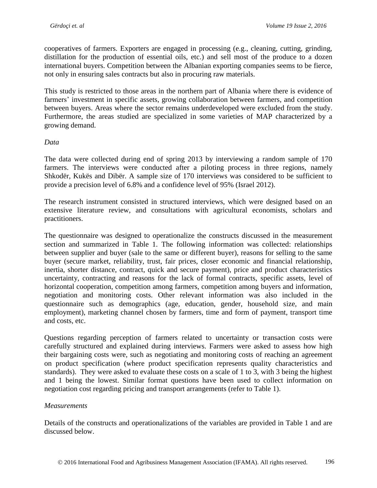cooperatives of farmers. Exporters are engaged in processing (e.g., cleaning, cutting, grinding, distillation for the production of essential oils, etc.) and sell most of the produce to a dozen international buyers. Competition between the Albanian exporting companies seems to be fierce, not only in ensuring sales contracts but also in procuring raw materials.

This study is restricted to those areas in the northern part of Albania where there is evidence of farmers' investment in specific assets, growing collaboration between farmers, and competition between buyers. Areas where the sector remains underdeveloped were excluded from the study. Furthermore, the areas studied are specialized in some varieties of MAP characterized by a growing demand.

#### *Data*

The data were collected during end of spring 2013 by interviewing a random sample of 170 farmers. The interviews were conducted after a piloting process in three regions, namely Shkodër, Kukës and Dibër. A sample size of 170 interviews was considered to be sufficient to provide a precision level of 6.8% and a confidence level of 95% (Israel 2012).

The research instrument consisted in structured interviews, which were designed based on an extensive literature review, and consultations with agricultural economists, scholars and practitioners.

The questionnaire was designed to operationalize the constructs discussed in the measurement section and summarized in Table 1. The following information was collected: relationships between supplier and buyer (sale to the same or different buyer), reasons for selling to the same buyer (secure market, reliability, trust, fair prices, closer economic and financial relationship, inertia, shorter distance, contract, quick and secure payment), price and product characteristics uncertainty, contracting and reasons for the lack of formal contracts, specific assets, level of horizontal cooperation, competition among farmers, competition among buyers and information, negotiation and monitoring costs. Other relevant information was also included in the questionnaire such as demographics (age, education, gender, household size, and main employment), marketing channel chosen by farmers, time and form of payment, transport time and costs, etc.

Questions regarding perception of farmers related to uncertainty or transaction costs were carefully structured and explained during interviews. Farmers were asked to assess how high their bargaining costs were, such as negotiating and monitoring costs of reaching an agreement on product specification (where product specification represents quality characteristics and standards). They were asked to evaluate these costs on a scale of 1 to 3, with 3 being the highest and 1 being the lowest. Similar format questions have been used to collect information on negotiation cost regarding pricing and transport arrangements (refer to Table 1).

#### *Measurements*

Details of the constructs and operationalizations of the variables are provided in Table 1 and are discussed below.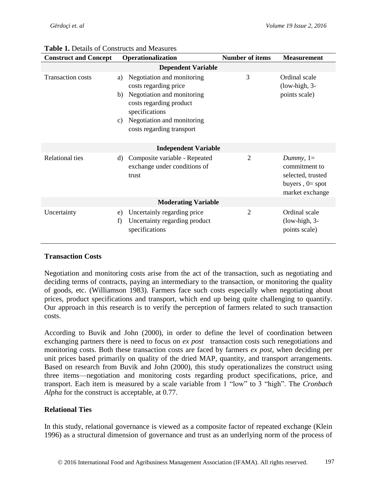| <b>Construct and Concept</b> | Operationalization                                                                                                                                                                                          | <b>Number of items</b> | <b>Measurement</b>                                                                         |  |  |  |  |  |  |
|------------------------------|-------------------------------------------------------------------------------------------------------------------------------------------------------------------------------------------------------------|------------------------|--------------------------------------------------------------------------------------------|--|--|--|--|--|--|
| <b>Dependent Variable</b>    |                                                                                                                                                                                                             |                        |                                                                                            |  |  |  |  |  |  |
| <b>Transaction costs</b>     | Negotiation and monitoring<br>a)<br>costs regarding price<br>Negotiation and monitoring<br>b)<br>costs regarding product<br>specifications<br>Negotiation and monitoring<br>C)<br>costs regarding transport | 3                      | Ordinal scale<br>$(low-high, 3-$<br>points scale)                                          |  |  |  |  |  |  |
| <b>Independent Variable</b>  |                                                                                                                                                                                                             |                        |                                                                                            |  |  |  |  |  |  |
| <b>Relational ties</b>       | Composite variable - Repeated<br>d)<br>exchange under conditions of<br>trust                                                                                                                                | $\overline{2}$         | Dummy, $1=$<br>commitment to<br>selected, trusted<br>buyers, $0 = spot$<br>market exchange |  |  |  |  |  |  |
| <b>Moderating Variable</b>   |                                                                                                                                                                                                             |                        |                                                                                            |  |  |  |  |  |  |
| Uncertainty                  | Uncertainly regarding price<br>e)<br>Uncertainty regarding product<br>f)<br>specifications                                                                                                                  | 2                      | Ordinal scale<br>$(low-high, 3-$<br>points scale)                                          |  |  |  |  |  |  |

## **Table 1.** Details of Constructs and Measures

### **Transaction Costs**

Negotiation and monitoring costs arise from the act of the transaction, such as negotiating and deciding terms of contracts, paying an intermediary to the transaction, or monitoring the quality of goods, etc. (Williamson 1983). Farmers face such costs especially when negotiating about prices, product specifications and transport, which end up being quite challenging to quantify. Our approach in this research is to verify the perception of farmers related to such transaction costs.

According to Buvik and John (2000), in order to define the level of coordination between exchanging partners there is need to focus on *ex post* transaction costs such renegotiations and monitoring costs. Both these transaction costs are faced by farmers *ex post*, when deciding per unit prices based primarily on quality of the dried MAP, quantity, and transport arrangements. Based on research from Buvik and John (2000), this study operationalizes the construct using three items—negotiation and monitoring costs regarding product specifications, price, and transport. Each item is measured by a scale variable from 1 "low" to 3 "high". The *Cronbach Alpha* for the construct is acceptable, at 0.77.

### **Relational Ties**

In this study, relational governance is viewed as a composite factor of repeated exchange (Klein 1996) as a structural dimension of governance and trust as an underlying norm of the process of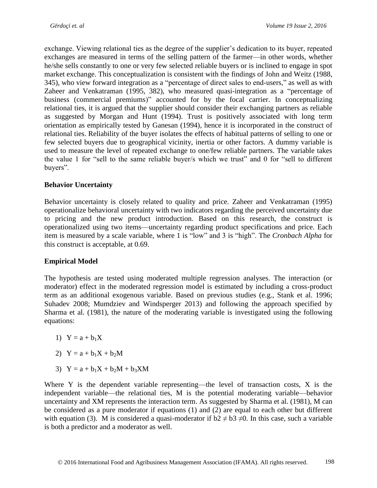exchange. Viewing relational ties as the degree of the supplier's dedication to its buyer, repeated exchanges are measured in terms of the selling pattern of the farmer—in other words, whether he/she sells constantly to one or very few selected reliable buyers or is inclined to engage in spot market exchange. This conceptualization is consistent with the findings of John and Weitz (1988, 345), who view forward integration as a "percentage of direct sales to end-users," as well as with Zaheer and Venkatraman (1995, 382), who measured quasi-integration as a "percentage of business (commercial premiums)" accounted for by the focal carrier. In conceptualizing relational ties, it is argued that the supplier should consider their exchanging partners as reliable as suggested by Morgan and Hunt (1994). Trust is positively associated with long term orientation as empirically tested by Ganesan (1994), hence it is incorporated in the construct of relational ties. Reliability of the buyer isolates the effects of habitual patterns of selling to one or few selected buyers due to geographical vicinity, inertia or other factors. A dummy variable is used to measure the level of repeated exchange to one/few reliable partners. The variable takes the value 1 for "sell to the same reliable buyer/s which we trust" and 0 for "sell to different buyers".

## **Behavior Uncertainty**

Behavior uncertainty is closely related to quality and price. Zaheer and Venkatraman (1995) operationalize behavioral uncertainty with two indicators regarding the perceived uncertainty due to pricing and the new product introduction. Based on this research, the construct is operationalized using two items—uncertainty regarding product specifications and price. Each item is measured by a scale variable, where 1 is "low" and 3 is "high". The *Cronbach Alpha* for this construct is acceptable, at 0.69.

## **Empirical Model**

The hypothesis are tested using moderated multiple regression analyses. The interaction (or moderator) effect in the moderated regression model is estimated by including a cross-product term as an additional exogenous variable. Based on previous studies (e.g., Stank et al. 1996; Suhadev 2008; Mumdziev and Windsperger 2013) and following the approach specified by Sharma et al. (1981), the nature of the moderating variable is investigated using the following equations:

- 1)  $Y = a + b_1X$
- 2)  $Y = a + b_1X + b_2M$
- 3)  $Y = a + b_1X + b_2M + b_3XM$

Where Y is the dependent variable representing—the level of transaction costs, X is the independent variable—the relational ties, M is the potential moderating variable—behavior uncertainty and XM represents the interaction term. As suggested by Sharma et al. (1981), M can be considered as a pure moderator if equations (1) and (2) are equal to each other but different with equation (3). M is considered a quasi-moderator if  $b2 \neq b3 \neq 0$ . In this case, such a variable is both a predictor and a moderator as well.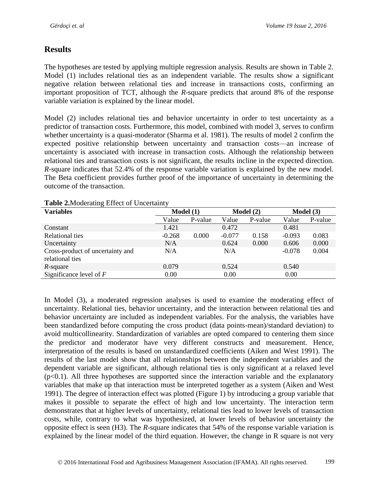## **Results**

The hypotheses are tested by applying multiple regression analysis. Results are shown in Table 2. Model (1) includes relational ties as an independent variable. The results show a significant negative relation between relational ties and increase in transactions costs, confirming an important proposition of TCT, although the *R*-square predicts that around 8% of the response variable variation is explained by the linear model.

Model (2) includes relational ties and behavior uncertainty in order to test uncertainty as a predictor of transaction costs. Furthermore, this model, combined with model 3, serves to confirm whether uncertainty is a quasi-moderator (Sharma et al. 1981). The results of model 2 confirm the expected positive relationship between uncertainty and transaction costs—an increase of uncertainty is associated with increase in transaction costs. Although the relationship between relational ties and transaction costs is not significant, the results incline in the expected direction. *R*-square indicates that 52.4% of the response variable variation is explained by the new model. The Beta coefficient provides further proof of the importance of uncertainty in determining the outcome of the transaction.

| <b>Variables</b>                                    | Model(1) |         | Model (2) |         | Model(3) |         |
|-----------------------------------------------------|----------|---------|-----------|---------|----------|---------|
|                                                     | Value    | P-value | Value     | P-value | Value    | P-value |
| Constant                                            | 1.421    |         | 0.472     |         | 0.481    |         |
| Relational ties                                     | $-0.268$ | 0.000   | $-0.077$  | 0.158   | $-0.093$ | 0.083   |
| Uncertainty                                         | N/A      |         | 0.624     | 0.000   | 0.606    | 0.000   |
| Cross-product of uncertainty and<br>relational ties | N/A      |         | N/A       |         | $-0.078$ | 0.004   |
| $R$ -square                                         | 0.079    |         | 0.524     |         | 0.540    |         |
| Significance level of $F$                           | 0.00     |         | 0.00      |         | 0.00     |         |

#### **Table 2.**Moderating Effect of Uncertainty

In Model (3), a moderated regression analyses is used to examine the moderating effect of uncertainty. Relational ties, behavior uncertainty, and the interaction between relational ties and behavior uncertainty are included as independent variables. For the analysis, the variables have been standardized before computing the cross product (data points-mean)/standard deviation) to avoid multicollinearity. Standardization of variables are opted compared to centering them since the predictor and moderator have very different constructs and measurement. Hence, interpretation of the results is based on unstandardized coefficients (Aiken and West 1991). The results of the last model show that all relationships between the independent variables and the dependent variable are significant, although relational ties is only significant at a relaxed level  $(p<0.1)$ . All three hypotheses are supported since the interaction variable and the explanatory variables that make up that interaction must be interpreted together as a system (Aiken and West 1991). The degree of interaction effect was plotted (Figure 1) by introducing a group variable that makes it possible to separate the effect of high and low uncertainty. The interaction term demonstrates that at higher levels of uncertainty, relational ties lead to lower levels of transaction costs, while, contrary to what was hypothesized, at lower levels of behavior uncertainty the opposite effect is seen (H3). The *R*-square indicates that 54% of the response variable variation is explained by the linear model of the third equation. However, the change in R square is not very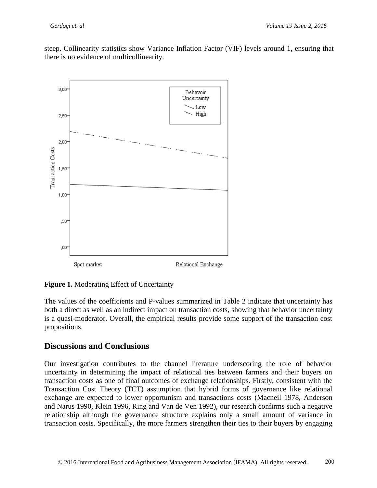steep. Collinearity statistics show Variance Inflation Factor (VIF) levels around 1, ensuring that there is no evidence of multicollinearity.



**Figure 1.** Moderating Effect of Uncertainty

The values of the coefficients and P-values summarized in Table 2 indicate that uncertainty has both a direct as well as an indirect impact on transaction costs, showing that behavior uncertainty is a quasi-moderator. Overall, the empirical results provide some support of the transaction cost propositions.

## **Discussions and Conclusions**

Our investigation contributes to the channel literature underscoring the role of behavior uncertainty in determining the impact of relational ties between farmers and their buyers on transaction costs as one of final outcomes of exchange relationships. Firstly, consistent with the Transaction Cost Theory (TCT) assumption that hybrid forms of governance like relational exchange are expected to lower opportunism and transactions costs (Macneil 1978, Anderson and Narus 1990, Klein 1996, Ring and Van de Ven 1992), our research confirms such a negative relationship although the governance structure explains only a small amount of variance in transaction costs. Specifically, the more farmers strengthen their ties to their buyers by engaging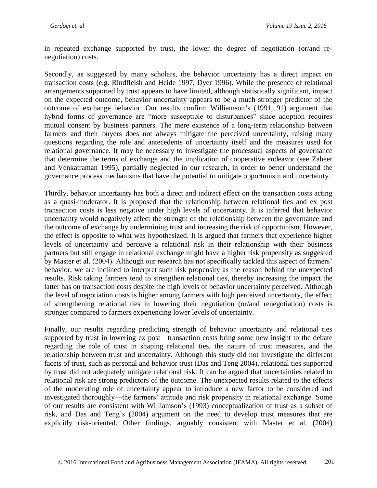in repeated exchange supported by trust, the lower the degree of negotiation (or/and renegotiation) costs.

Secondly, as suggested by many scholars, the behavior uncertainty has a direct impact on transaction costs (e.g. Rindfleish and Heide 1997, Dyer 1996). While the presence of relational arrangements supported by trust appears to have limited, although statistically significant, impact on the expected outcome, behavior uncertainty appears to be a much stronger predictor of the outcome of exchange behavior. Our results confirm Williamson's (1991, 91) argument that hybrid forms of governance are "more susceptible to disturbances" since adoption requires mutual consent by business partners. The mere existence of a long-term relationship between farmers and their buyers does not always mitigate the perceived uncertainty, raising many questions regarding the role and antecedents of uncertainty itself and the measures used for relational governance. It may be necessary to investigate the processual aspects of governance that determine the terms of exchange and the implication of cooperative endeavor (see Zaheer and Venkatraman 1995), partially neglected in our research, in order to better understand the governance process mechanisms that have the potential to mitigate opportunism and uncertainty.

Thirdly, behavior uncertainty has both a direct and indirect effect on the transaction costs acting as a quasi-moderator. It is proposed that the relationship between relational ties and ex post transaction costs is less negative under high levels of uncertainty. It is inferred that behavior uncertainty would negatively affect the strength of the relationship between the governance and the outcome of exchange by undermining trust and increasing the risk of opportunism. However, the effect is opposite to what was hypothesized. It is argued that farmers that experience higher levels of uncertainty and perceive a relational risk in their relationship with their business partners but still engage in relational exchange might have a higher risk propensity as suggested by Master et al. (2004). Although our research has not specifically tackled this aspect of farmers' behavior, we are inclined to interpret such risk propensity as the reason behind the unexpected results. Risk taking farmers tend to strengthen relational ties, thereby increasing the impact the latter has on transaction costs despite the high levels of behavior uncertainty perceived. Although the level of negotiation costs is higher among farmers with high perceived uncertainty, the effect of strengthening relational ties in lowering their negotiation (or/and renegotiation) costs is stronger compared to farmers experiencing lower levels of uncertainty.

Finally, our results regarding predicting strength of behavior uncertainty and relational ties supported by trust in lowering ex post transaction costs bring some new insight to the debate regarding the role of trust in shaping relational ties, the nature of trust measures, and the relationship between trust and uncertainty. Although this study did not investigate the different facets of trust, such as personal and behavior trust (Das and Teng 2004), relational ties supported by trust did not adequately mitigate relational risk. It can be argued that uncertainties related to relational risk are strong predictors of the outcome. The unexpected results related to the effects of the moderating role of uncertainty appear to introduce a new factor to be considered and investigated thoroughly—the farmers' attitude and risk propensity in relational exchange. Some of our results are consistent with Williamson's (1993) conceptualization of trust as a subset of risk, and Das and Teng's (2004) argument on the need to develop trust measures that are explicitly risk-oriented. Other findings, arguably consistent with Master et al. (2004)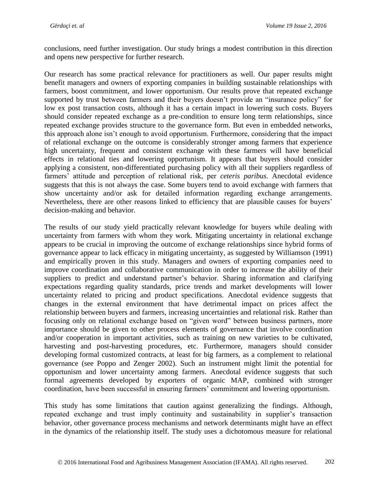conclusions, need further investigation. Our study brings a modest contribution in this direction and opens new perspective for further research.

Our research has some practical relevance for practitioners as well. Our paper results might benefit managers and owners of exporting companies in building sustainable relationships with farmers, boost commitment, and lower opportunism. Our results prove that repeated exchange supported by trust between farmers and their buyers doesn't provide an "insurance policy" for low ex post transaction costs, although it has a certain impact in lowering such costs. Buyers should consider repeated exchange as a pre-condition to ensure long term relationships, since repeated exchange provides structure to the governance form. But even in embedded networks, this approach alone isn't enough to avoid opportunism. Furthermore, considering that the impact of relational exchange on the outcome is considerably stronger among farmers that experience high uncertainty, frequent and consistent exchange with these farmers will have beneficial effects in relational ties and lowering opportunism. It appears that buyers should consider applying a consistent, non-differentiated purchasing policy with all their suppliers regardless of farmers' attitude and perception of relational risk, per *ceteris paribus*. Anecdotal evidence suggests that this is not always the case. Some buyers tend to avoid exchange with farmers that show uncertainty and/or ask for detailed information regarding exchange arrangements. Nevertheless, there are other reasons linked to efficiency that are plausible causes for buyers' decision-making and behavior.

The results of our study yield practically relevant knowledge for buyers while dealing with uncertainty from farmers with whom they work. Mitigating uncertainty in relational exchange appears to be crucial in improving the outcome of exchange relationships since hybrid forms of governance appear to lack efficacy in mitigating uncertainty, as suggested by Williamson (1991) and empirically proven in this study. Managers and owners of exporting companies need to improve coordination and collaborative communication in order to increase the ability of their suppliers to predict and understand partner's behavior. Sharing information and clarifying expectations regarding quality standards, price trends and market developments will lower uncertainty related to pricing and product specifications. Anecdotal evidence suggests that changes in the external environment that have detrimental impact on prices affect the relationship between buyers and farmers, increasing uncertainties and relational risk. Rather than focusing only on relational exchange based on "given word" between business partners, more importance should be given to other process elements of governance that involve coordination and/or cooperation in important activities, such as training on new varieties to be cultivated, harvesting and post-harvesting procedures, etc. Furthermore, managers should consider developing formal customized contracts, at least for big farmers, as a complement to relational governance (see Poppo and Zenger 2002). Such an instrument might limit the potential for opportunism and lower uncertainty among farmers. Anecdotal evidence suggests that such formal agreements developed by exporters of organic MAP, combined with stronger coordination, have been successful in ensuring farmers' commitment and lowering opportunism.

This study has some limitations that caution against generalizing the findings. Although, repeated exchange and trust imply continuity and sustainability in supplier's transaction behavior, other governance process mechanisms and network determinants might have an effect in the dynamics of the relationship itself. The study uses a dichotomous measure for relational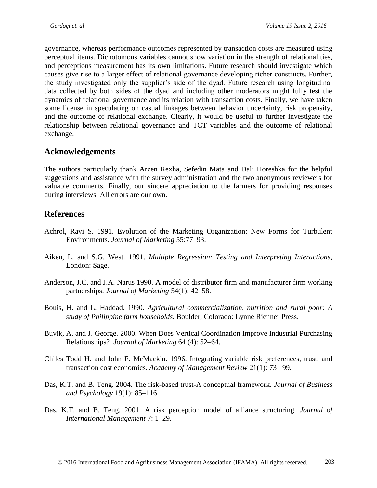governance, whereas performance outcomes represented by transaction costs are measured using perceptual items. Dichotomous variables cannot show variation in the strength of relational ties, and perceptions measurement has its own limitations. Future research should investigate which causes give rise to a larger effect of relational governance developing richer constructs. Further, the study investigated only the supplier's side of the dyad. Future research using longitudinal data collected by both sides of the dyad and including other moderators might fully test the dynamics of relational governance and its relation with transaction costs. Finally, we have taken some license in speculating on casual linkages between behavior uncertainty, risk propensity, and the outcome of relational exchange. Clearly, it would be useful to further investigate the relationship between relational governance and TCT variables and the outcome of relational exchange.

## **Acknowledgements**

The authors particularly thank Arzen Rexha, Sefedin Mata and Dali Horeshka for the helpful suggestions and assistance with the survey administration and the two anonymous reviewers for valuable comments. Finally, our sincere appreciation to the farmers for providing responses during interviews. All errors are our own.

## **References**

- Achrol, Ravi S. 1991. Evolution of the Marketing Organization: New Forms for Turbulent Environments. *Journal of Marketing* 55:77–93.
- Aiken, L. and S.G. West. 1991. *Multiple Regression: Testing and Interpreting Interactions,* London: Sage.
- Anderson, J.C. and J.A. Narus 1990. A model of distributor firm and manufacturer firm working partnerships. *Journal of Marketing* 54(1): 42–58.
- Bouis, H. and L. Haddad. 1990. *Agricultural commercialization, nutrition and rural poor: A study of Philippine farm households.* Boulder, Colorado: Lynne Rienner Press.
- Buvik, A. and J. George. 2000. When Does Vertical Coordination Improve Industrial Purchasing Relationships? *Journal of Marketing* 64 (4): 52–64.
- Chiles Todd H. and John F. McMackin. 1996. Integrating variable risk preferences, trust, and transaction cost economics. *Academy of Management Review* 21(1): 73– 99.
- Das, K.T. and B. Teng. 2004. The risk-based trust-A conceptual framework. *Journal of Business and Psychology* 19(1): 85–116.
- Das, K.T. and B. Teng. 2001. A risk perception model of alliance structuring. *Journal of International Management* 7: 1–29.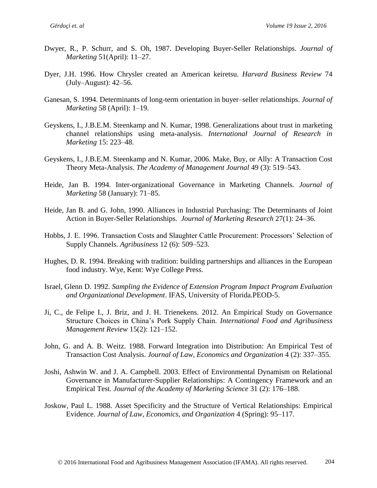- Dwyer, R., P. Schurr, and S. Oh, 1987. Developing Buyer-Seller Relationships. *Journal of Marketing* 51(April): 11–27.
- Dyer, J.H. 1996. How Chrysler created an American keiretsu. *Harvard Business Review* 74 (July–August): 42–56.
- Ganesan, S. 1994. Determinants of long-term orientation in buyer–seller relationships. *Journal of Marketing* 58 (April): 1–19.
- Geyskens, I., J.B.E.M. Steenkamp and N. Kumar, 1998. Generalizations about trust in marketing channel relationships using meta-analysis. *International Journal of Research in Marketing* 15: 223–48.
- Geyskens, I., J.B.E.M. Steenkamp and N. Kumar, 2006. Make, Buy, or Ally: A Transaction Cost Theory Meta-Analysis. *The Academy of Management Journal* 49 (3): 519–543.
- Heide, Jan B. 1994. Inter-organizational Governance in Marketing Channels. *Journal of Marketing* 58 (January): 71–85.
- Heide, Jan B. and G. John, 1990. Alliances in Industrial Purchasing: The Determinants of Joint Action in Buyer-Seller Relationships. *Journal of Marketing Research* 27(1): 24–36.
- Hobbs, J. E. 1996. Transaction Costs and Slaughter Cattle Procurement: Processors' Selection of Supply Channels. *Agribusiness* 12 (6): 509–523.
- Hughes, D. R. 1994. Breaking with tradition: building partnerships and alliances in the European food industry. Wye, Kent: Wye College Press.
- Israel, Glenn D. 1992. *Sampling the Evidence of Extension Program Impact Program Evaluation and Organizational Development*. IFAS, University of Florida.PEOD-5.
- Ji, C., de Felipe I., J. Briz, and J. H. Trienekens. 2012. An Empirical Study on Governance Structure Choices in China's Pork Supply Chain. *International Food and Agribusiness Management Review* 15(2): 121–152.
- John, G. and A. B. Weitz. 1988. Forward Integration into Distribution: An Empirical Test of Transaction Cost Analysis. *Journal of Law, Economics and Organization* 4 (2): 337–355.
- Joshi, Ashwin W. and J. A. Campbell. 2003. Effect of Environmental Dynamism on Relational Governance in Manufacturer-Supplier Relationships: A Contingency Framework and an Empirical Test. *Journal of the Academy of Marketing Science* 31 (2): 176–188.
- Joskow, Paul L. 1988. Asset Specificity and the Structure of Vertical Relationships: Empirical Evidence. *Journal of Law, Economics, and Organization* 4 (Spring): 95–117.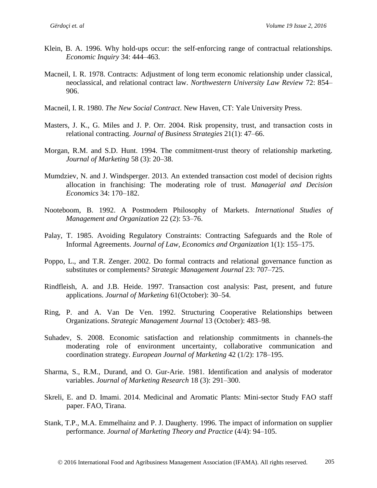- Klein, B. A. 1996. Why hold-ups occur: the self-enforcing range of contractual relationships. *Economic Inquiry* 34: 444–463.
- Macneil, I. R. 1978. Contracts: Adjustment of long term economic relationship under classical, neoclassical, and relational contract law. *Northwestern University Law Review* 72: 854– 906.
- Macneil, I. R. 1980. *The New Social Contract*. New Haven, CT: Yale University Press.
- Masters, J. K., G. Miles and J. P. Orr. 2004. Risk propensity, trust, and transaction costs in relational contracting. *Journal of Business Strategies* 21(1): 47–66.
- Morgan, R.M. and S.D. Hunt. 1994. The commitment-trust theory of relationship marketing. *Journal of Marketing* 58 (3): 20–38.
- Mumdziev, N. and J. Windsperger. 2013. An extended transaction cost model of decision rights allocation in franchising: The moderating role of trust. *Managerial and Decision Economics* 34: 170–182.
- Nooteboom, B. 1992. A Postmodern Philosophy of Markets. *International Studies of Management and Organization* 22 (2): 53–76.
- Palay, T. 1985. Avoiding Regulatory Constraints: Contracting Safeguards and the Role of Informal Agreements. *Journal of Law, Economics and Organization* 1(1): 155–175.
- Poppo, L., and T.R. Zenger. 2002. Do formal contracts and relational governance function as substitutes or complements? *Strategic Management Journal* 23: 707–725.
- Rindfleish, A. and J.B. Heide. 1997. Transaction cost analysis: Past, present, and future applications. *Journal of Marketing* 61(October): 30–54.
- Ring, P. and A. Van De Ven. 1992. Structuring Cooperative Relationships between Organizations. *Strategic Management Journal* 13 (October): 483–98.
- Suhadev, S. 2008. Economic satisfaction and relationship commitments in channels-the moderating role of environment uncertainty, collaborative communication and coordination strategy. *European Journal of Marketing* 42 (1/2): 178–195.
- Sharma, S., R.M., Durand, and O. Gur-Arie. 1981. Identification and analysis of moderator variables. *Journal of Marketing Research* 18 (3): 291–300.
- Skreli, E. and D. Imami. 2014. Medicinal and Aromatic Plants: Mini-sector Study FAO staff paper. FAO, Tirana.
- Stank, T.P., M.A. Emmelhainz and P. J. Daugherty. 1996. The impact of information on supplier performance. *Journal of Marketing Theory and Practice* (4/4): 94–105.